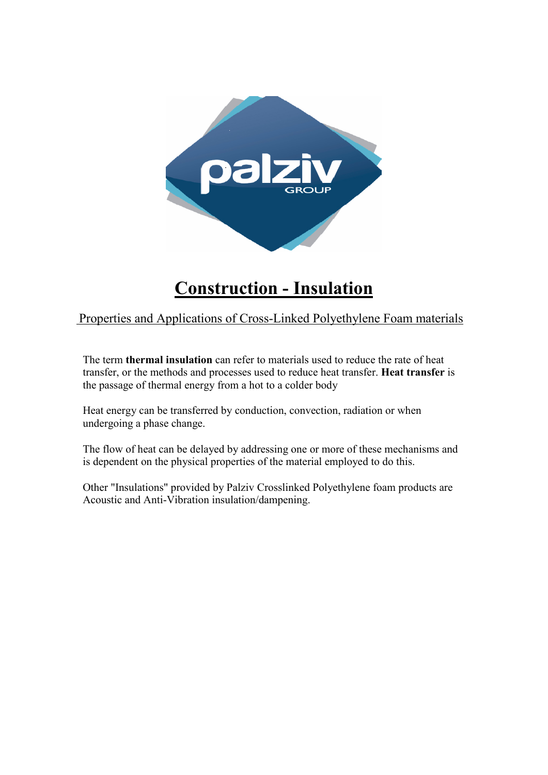

# **Construction - Insulation**

Properties and Applications of Cross-Linked Polyethylene Foam materials

The term **thermal insulation** can refer to materials used to reduce the rate of heat transfer, or the methods and processes used to reduce heat transfer. **Heat transfer** is the passage of thermal energy from a hot to a colder body

Heat energy can be transferred by conduction, convection, radiation or when undergoing a phase change.

The flow of heat can be delayed by addressing one or more of these mechanisms and is dependent on the physical properties of the material employed to do this.

Other "Insulations" provided by Palziv Crosslinked Polyethylene foam products are Acoustic and Anti-Vibration insulation/dampening.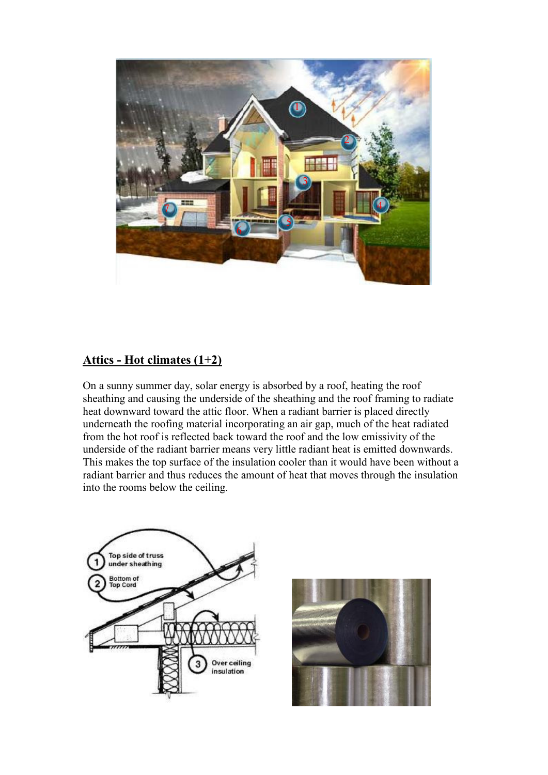

#### **Attics - Hot climates (1+2)**

On a sunny summer day, solar energy is absorbed by a roof, heating the roof sheathing and causing the underside of the sheathing and the roof framing to radiate heat downward toward the attic floor. When a radiant barrier is placed directly underneath the roofing material incorporating an air gap, much of the heat radiated from the hot roof is reflected back toward the roof and the low emissivity of the underside of the radiant barrier means very little radiant heat is emitted downwards. This makes the top surface of the insulation cooler than it would have been without a radiant barrier and thus reduces the amount of heat that moves through the insulation into the rooms below the ceiling.



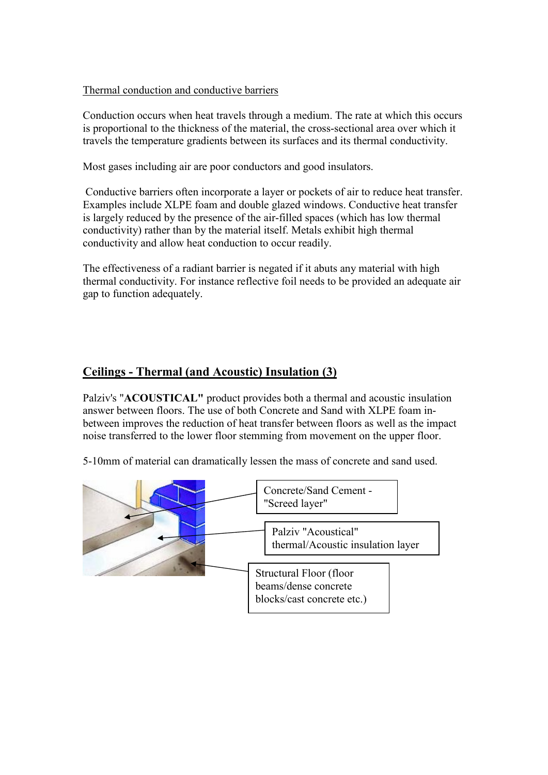#### Thermal conduction and conductive barriers

Conduction occurs when heat travels through a medium. The rate at which this occurs is proportional to the thickness of the material, the cross-sectional area over which it travels the temperature gradients between its surfaces and its thermal conductivity.

Most gases including air are poor conductors and good insulators.

 Conductive barriers often incorporate a layer or pockets of air to reduce heat transfer. Examples include XLPE foam and double glazed windows. Conductive heat transfer is largely reduced by the presence of the air-filled spaces (which has low thermal conductivity) rather than by the material itself. Metals exhibit high thermal conductivity and allow heat conduction to occur readily.

The effectiveness of a radiant barrier is negated if it abuts any material with high thermal conductivity. For instance reflective foil needs to be provided an adequate air gap to function adequately.

#### **Ceilings - Thermal (and Acoustic) Insulation (3)**

Palziv's "**ACOUSTICAL"** product provides both a thermal and acoustic insulation answer between floors. The use of both Concrete and Sand with XLPE foam inbetween improves the reduction of heat transfer between floors as well as the impact noise transferred to the lower floor stemming from movement on the upper floor.

5-10mm of material can dramatically lessen the mass of concrete and sand used.

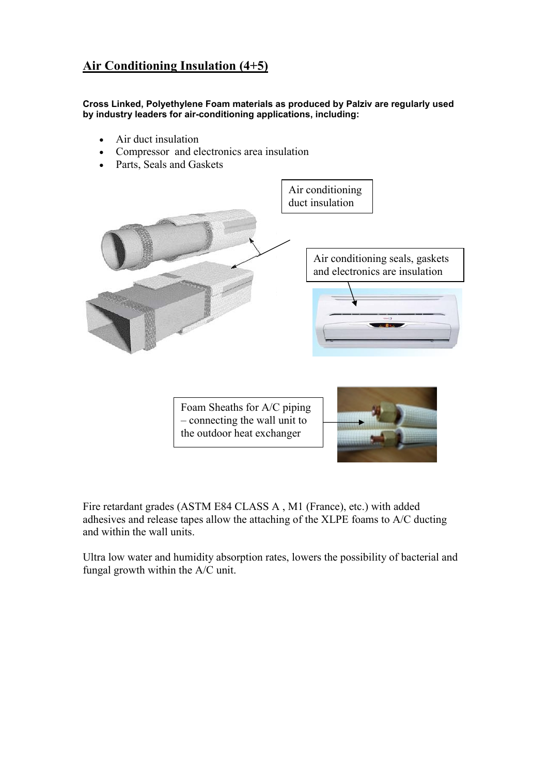### **Air Conditioning Insulation (4+5)**

**Cross Linked, Polyethylene Foam materials as produced by Palziv are regularly used by industry leaders for air-conditioning applications, including:**

- Air duct insulation
- Compressor and electronics area insulation
- Parts, Seals and Gaskets



Foam Sheaths for A/C piping – connecting the wall unit to the outdoor heat exchanger



Fire retardant grades (ASTM E84 CLASS A , M1 (France), etc.) with added adhesives and release tapes allow the attaching of the XLPE foams to A/C ducting and within the wall units.

Ultra low water and humidity absorption rates, lowers the possibility of bacterial and fungal growth within the A/C unit.